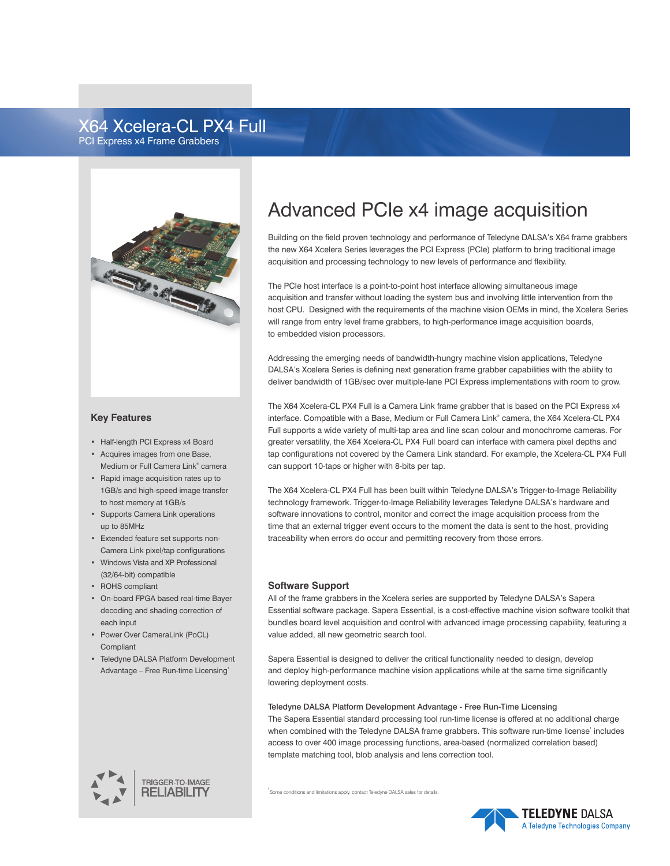# X64 Xcelera-CL PX4 Full PCI Express x4 Frame Grabbers



#### **Key Features**

- • Half-length PCI Express x4 Board
- • Acquires images from one Base, Medium or Full Camera Link® camera
- • Rapid image acquisition rates up to 1GB/s and high-speed image transfer to host memory at 1GB/s
- • Supports Camera Link operations up to 85MHz
- • Extended feature set supports non- Camera Link pixel/tap configurations
- • Windows Vista and XP Professional (32/64-bit) compatible
- • ROHS compliant
- • On-board FPGA based real-time Bayer decoding and shading correction of each input
- • Power Over CameraLink (PoCL) Compliant
- • Teledyne DALSA Platform Development Advantage – Free Run-time Licensing<sup>1</sup>



# Advanced PCIe x4 image acquisition

Building on the field proven technology and performance of Teledyne DALSA's X64 frame grabbers the new X64 Xcelera Series leverages the PCI Express (PCIe) platform to bring traditional image acquisition and processing technology to new levels of performance and flexibility.

The PCIe host interface is a point-to-point host interface allowing simultaneous image acquisition and transfer without loading the system bus and involving little intervention from the host CPU. Designed with the requirements of the machine vision OEMs in mind, the Xcelera Series will range from entry level frame grabbers, to high-performance image acquisition boards, to embedded vision processors.

Addressing the emerging needs of bandwidth-hungry machine vision applications, Teledyne DALSA's Xcelera Series is defining next generation frame grabber capabilities with the ability to deliver bandwidth of 1GB/sec over multiple-lane PCI Express implementations with room to grow.

The X64 Xcelera-CL PX4 Full is a Camera Link frame grabber that is based on the PCI Express x4 interface. Compatible with a Base, Medium or Full Camera Link® camera, the X64 Xcelera-CL PX4 Full supports a wide variety of multi-tap area and line scan colour and monochrome cameras. For greater versatility, the X64 Xcelera-CL PX4 Full board can interface with camera pixel depths and tap configurations not covered by the Camera Link standard. For example, the Xcelera-CL PX4 Full can support 10-taps or higher with 8-bits per tap.

The X64 Xcelera-CL PX4 Full has been built within Teledyne DALSA's Trigger-to-Image Reliability technology framework. Trigger-to-Image Reliability leverages Teledyne DALSA's hardware and software innovations to control, monitor and correct the image acquisition process from the time that an external trigger event occurs to the moment the data is sent to the host. providing traceability when errors do occur and permitting recovery from those errors.

#### **Software Support**

All of the frame grabbers in the Xcelera series are supported by Teledyne DALSA's Sapera Essential software package. Sapera Essential, is a cost-effective machine vision software toolkit that bundles board level acquisition and control with advanced image processing capability, featuring a value added, all new geometric search tool.

Sapera Essential is designed to deliver the critical functionality needed to design, develop and deploy high-performance machine vision applications while at the same time significantly lowering deployment costs.

Teledyne DALSA Platform Development Advantage - Free Run-Time Licensing The Sapera Essential standard processing tool run-time license is offered at no additional charge when combined with the Teledyne DALSA frame grabbers. This software run-time license' includes access to over 400 image processing functions, area-based (normalized correlation based) template matching tool, blob analysis and lens correction tool.

1 Some conditions and limitations apply, contact Teledyne DALSA sales for details.